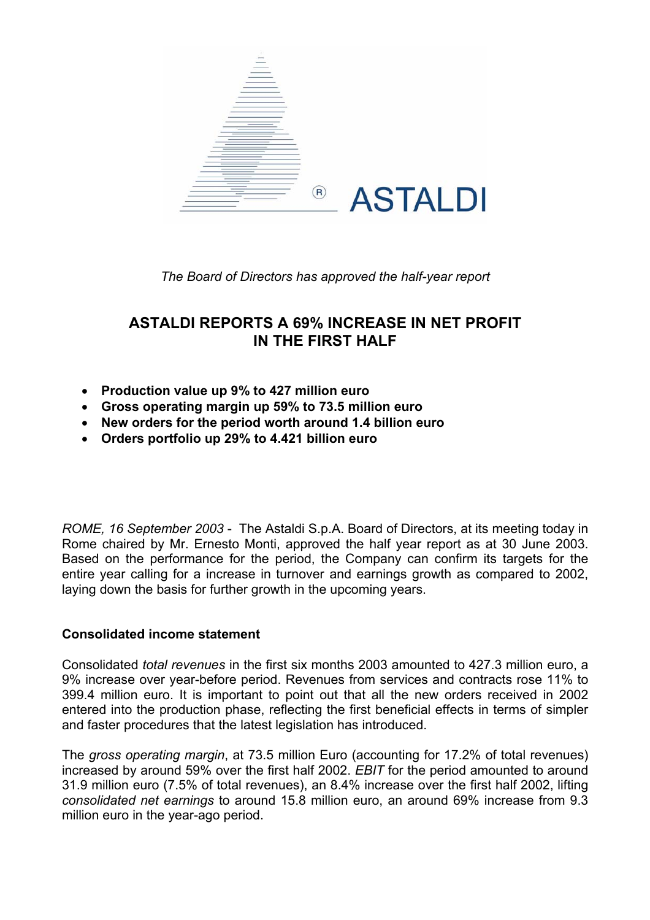

*The Board of Directors has approved the half-year report* 

# **ASTALDI REPORTS A 69% INCREASE IN NET PROFIT IN THE FIRST HALF**

- **Production value up 9% to 427 million euro**
- **Gross operating margin up 59% to 73.5 million euro**
- **New orders for the period worth around 1.4 billion euro**
- **Orders portfolio up 29% to 4.421 billion euro**

*ROME, 16 September 2003* - The Astaldi S.p.A. Board of Directors, at its meeting today in Rome chaired by Mr. Ernesto Monti, approved the half year report as at 30 June 2003. Based on the performance for the period, the Company can confirm its targets for the entire year calling for a increase in turnover and earnings growth as compared to 2002, laying down the basis for further growth in the upcoming years.

### **Consolidated income statement**

Consolidated *total revenues* in the first six months 2003 amounted to 427.3 million euro, a 9% increase over year-before period. Revenues from services and contracts rose 11% to 399.4 million euro. It is important to point out that all the new orders received in 2002 entered into the production phase, reflecting the first beneficial effects in terms of simpler and faster procedures that the latest legislation has introduced.

The *gross operating margin*, at 73.5 million Euro (accounting for 17.2% of total revenues) increased by around 59% over the first half 2002. *EBIT* for the period amounted to around 31.9 million euro (7.5% of total revenues), an 8.4% increase over the first half 2002, lifting *consolidated net earnings* to around 15.8 million euro, an around 69% increase from 9.3 million euro in the year-ago period.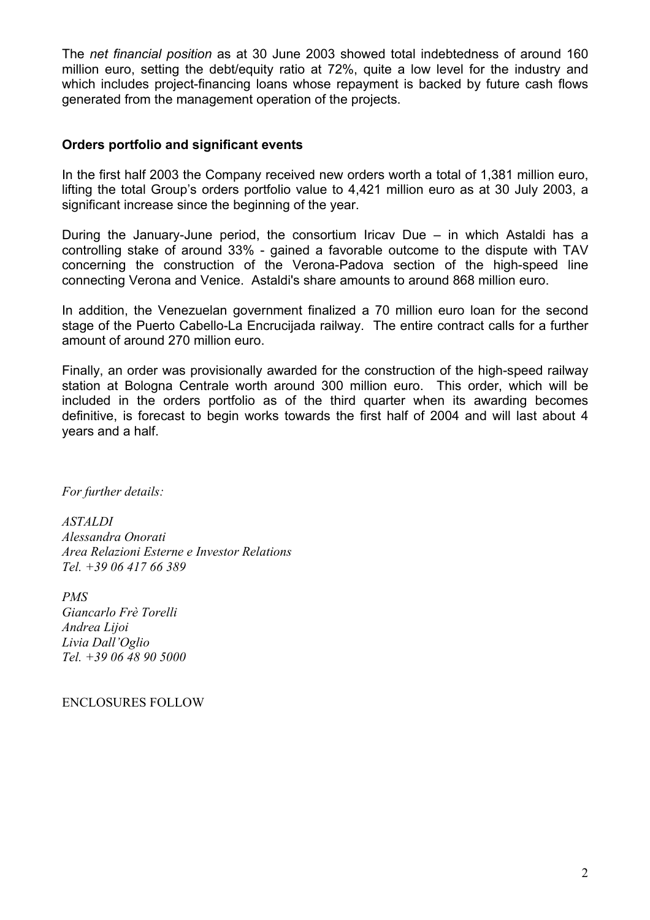The *net financial position* as at 30 June 2003 showed total indebtedness of around 160 million euro, setting the debt/equity ratio at 72%, quite a low level for the industry and which includes project-financing loans whose repayment is backed by future cash flows generated from the management operation of the projects.

### **Orders portfolio and significant events**

In the first half 2003 the Company received new orders worth a total of 1,381 million euro, lifting the total Group's orders portfolio value to 4,421 million euro as at 30 July 2003, a significant increase since the beginning of the year.

During the January-June period, the consortium Iricav Due – in which Astaldi has a controlling stake of around 33% - gained a favorable outcome to the dispute with TAV concerning the construction of the Verona-Padova section of the high-speed line connecting Verona and Venice. Astaldi's share amounts to around 868 million euro.

In addition, the Venezuelan government finalized a 70 million euro loan for the second stage of the Puerto Cabello-La Encrucijada railway. The entire contract calls for a further amount of around 270 million euro.

Finally, an order was provisionally awarded for the construction of the high-speed railway station at Bologna Centrale worth around 300 million euro. This order, which will be included in the orders portfolio as of the third quarter when its awarding becomes definitive, is forecast to begin works towards the first half of 2004 and will last about 4 years and a half.

*For further details:* 

*ASTALDI Alessandra Onorati Area Relazioni Esterne e Investor Relations Tel. +39 06 417 66 389* 

*PMS Giancarlo Frè Torelli Andrea Lijoi Livia Dall'Oglio Tel. +39 06 48 90 5000* 

ENCLOSURES FOLLOW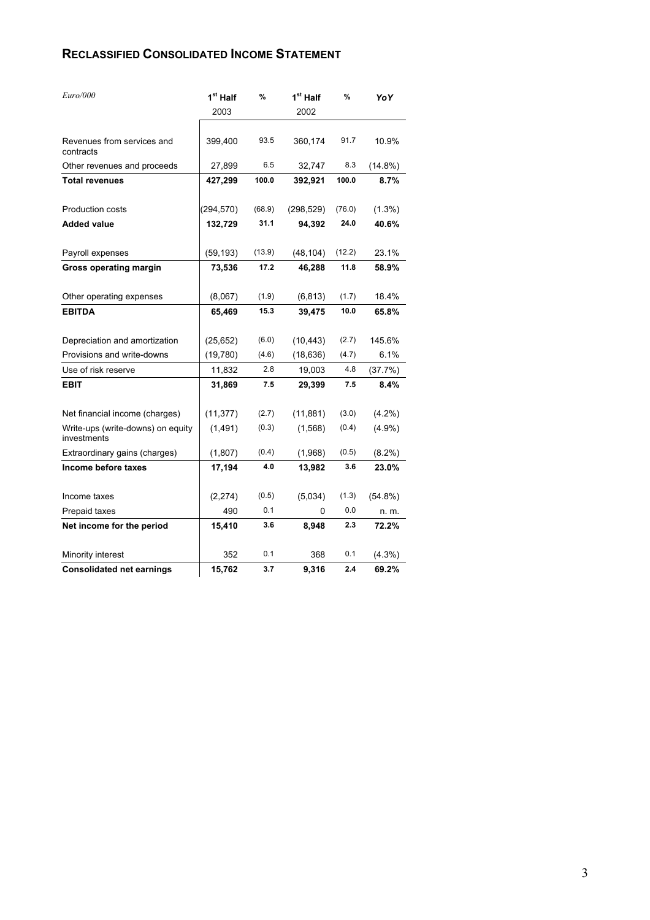#### **RECLASSIFIED CONSOLIDATED INCOME STATEMENT**

| Euro/000                                         | 1 <sup>st</sup> Half | %      | 1 <sup>st</sup> Half | %      | YoY        |
|--------------------------------------------------|----------------------|--------|----------------------|--------|------------|
|                                                  | 2003                 |        | 2002                 |        |            |
| Revenues from services and<br>contracts          | 399,400              | 93.5   | 360,174              | 91.7   | 10.9%      |
| Other revenues and proceeds                      | 27,899               | 6.5    | 32,747               | 8.3    | $(14.8\%)$ |
| <b>Total revenues</b>                            | 427,299              | 100.0  | 392,921              | 100.0  | 8.7%       |
| Production costs                                 | (294, 570)           | (68.9) | (298, 529)           | (76.0) | $(1.3\%)$  |
| <b>Added value</b>                               | 132,729              | 31.1   | 94,392               | 24.0   | 40.6%      |
| Payroll expenses                                 | (59, 193)            | (13.9) | (48, 104)            | (12.2) | 23.1%      |
| <b>Gross operating margin</b>                    | 73,536               | 17.2   | 46,288               | 11.8   | 58.9%      |
| Other operating expenses                         | (8,067)              | (1.9)  | (6, 813)             | (1.7)  | 18.4%      |
| <b>EBITDA</b>                                    | 65,469               | 15.3   | 39,475               | 10.0   | 65.8%      |
| Depreciation and amortization                    | (25, 652)            | (6.0)  | (10, 443)            | (2.7)  | 145.6%     |
| Provisions and write-downs                       | (19,780)             | (4.6)  | (18, 636)            | (4.7)  | 6.1%       |
| Use of risk reserve                              | 11,832               | 2.8    | 19,003               | 4.8    | (37.7%)    |
| <b>EBIT</b>                                      | 31,869               | 7.5    | 29,399               | 7.5    | 8.4%       |
| Net financial income (charges)                   | (11, 377)            | (2.7)  | (11, 881)            | (3.0)  | $(4.2\%)$  |
| Write-ups (write-downs) on equity<br>investments | (1, 491)             | (0.3)  | (1,568)              | (0.4)  | $(4.9\%)$  |
| Extraordinary gains (charges)                    | (1,807)              | (0.4)  | (1,968)              | (0.5)  | $(8.2\%)$  |
| Income before taxes                              | 17,194               | 4.0    | 13,982               | 3.6    | 23.0%      |
| Income taxes                                     | (2, 274)             | (0.5)  | (5,034)              | (1.3)  | $(54.8\%)$ |
| Prepaid taxes                                    | 490                  | 0.1    | 0                    | 0.0    | n. m.      |
| Net income for the period                        | 15,410               | 3.6    | 8,948                | 2.3    | 72.2%      |
| Minority interest                                | 352                  | 0.1    | 368                  | 0.1    | $(4.3\%)$  |
| <b>Consolidated net earnings</b>                 | 15,762               | 3.7    | 9,316                | 2.4    | 69.2%      |